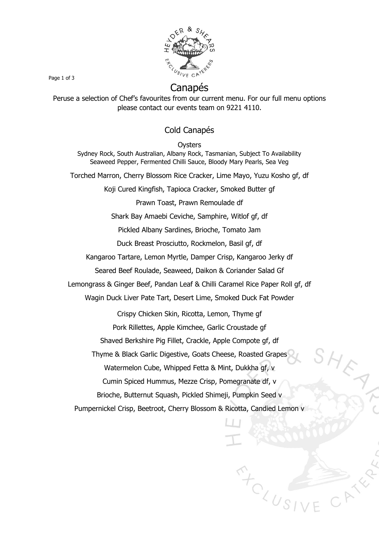

### Canapés

Page 1 of 3

Peruse a selection of Chef's favourites from our current menu. For our full menu options please contact our events team on 9221 4110.

#### Cold Canapés

**Oysters** 

Sydney Rock, South Australian, Albany Rock, Tasmanian, Subject To Availability Seaweed Pepper, Fermented Chilli Sauce, Bloody Mary Pearls, Sea Veg

Torched Marron, Cherry Blossom Rice Cracker, Lime Mayo, Yuzu Kosho gf, df

Koji Cured Kingfish, Tapioca Cracker, Smoked Butter gf

Prawn Toast, Prawn Remoulade df

Shark Bay Amaebi Ceviche, Samphire, Witlof gf, df

Pickled Albany Sardines, Brioche, Tomato Jam

Duck Breast Prosciutto, Rockmelon, Basil gf, df

Kangaroo Tartare, Lemon Myrtle, Damper Crisp, Kangaroo Jerky df

Seared Beef Roulade, Seaweed, Daikon & Coriander Salad Gf

Lemongrass & Ginger Beef, Pandan Leaf & Chilli Caramel Rice Paper Roll gf, df

Wagin Duck Liver Pate Tart, Desert Lime, Smoked Duck Fat Powder

Crispy Chicken Skin, Ricotta, Lemon, Thyme gf

Pork Rillettes, Apple Kimchee, Garlic Croustade gf

Shaved Berkshire Pig Fillet, Crackle, Apple Compote gf, df

Thyme & Black Garlic Digestive, Goats Cheese, Roasted Grapes

Watermelon Cube, Whipped Fetta & Mint, Dukkha gf, v

Cumin Spiced Hummus, Mezze Crisp, Pomegranate df, v

Brioche, Butternut Squash, Pickled Shimeji, Pumpkin Seed v

Pumpernickel Crisp, Beetroot, Cherry Blossom & Ricotta, Candied Lemon v

 $T$ <sub>CLUSI</sub>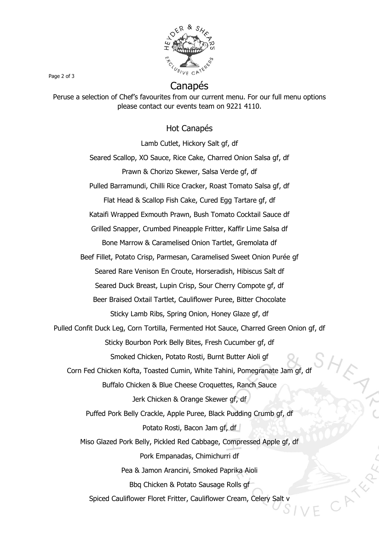

## Canapés

Peruse a selection of Chef's favourites from our current menu. For our full menu options please contact our events team on 9221 4110.

#### Hot Canapés

Lamb Cutlet, Hickory Salt gf, df Seared Scallop, XO Sauce, Rice Cake, Charred Onion Salsa gf, df Prawn & Chorizo Skewer, Salsa Verde gf, df Pulled Barramundi, Chilli Rice Cracker, Roast Tomato Salsa gf, df Flat Head & Scallop Fish Cake, Cured Egg Tartare gf, df Kataifi Wrapped Exmouth Prawn, Bush Tomato Cocktail Sauce df Grilled Snapper, Crumbed Pineapple Fritter, Kaffir Lime Salsa df Bone Marrow & Caramelised Onion Tartlet, Gremolata df Beef Fillet, Potato Crisp, Parmesan, Caramelised Sweet Onion Purée gf Seared Rare Venison En Croute, Horseradish, Hibiscus Salt df Seared Duck Breast, Lupin Crisp, Sour Cherry Compote gf, df Beer Braised Oxtail Tartlet, Cauliflower Puree, Bitter Chocolate Sticky Lamb Ribs, Spring Onion, Honey Glaze gf, df Pulled Confit Duck Leg, Corn Tortilla, Fermented Hot Sauce, Charred Green Onion gf, df Sticky Bourbon Pork Belly Bites, Fresh Cucumber gf, df Smoked Chicken, Potato Rosti, Burnt Butter Aioli gf Corn Fed Chicken Kofta, Toasted Cumin, White Tahini, Pomegranate Jam gf, df Buffalo Chicken & Blue Cheese Croquettes, Ranch Sauce Jerk Chicken & Orange Skewer gf, df Puffed Pork Belly Crackle, Apple Puree, Black Pudding Crumb gf, df Potato Rosti, Bacon Jam gf, df Miso Glazed Pork Belly, Pickled Red Cabbage, Compressed Apple gf, df Pork Empanadas, Chimichurri df Pea & Jamon Arancini, Smoked Paprika Aioli Bbq Chicken & Potato Sausage Rolls gf Spiced Cauliflower Floret Fritter, Cauliflower Cream, Celery Salt v

Page 2 of 3